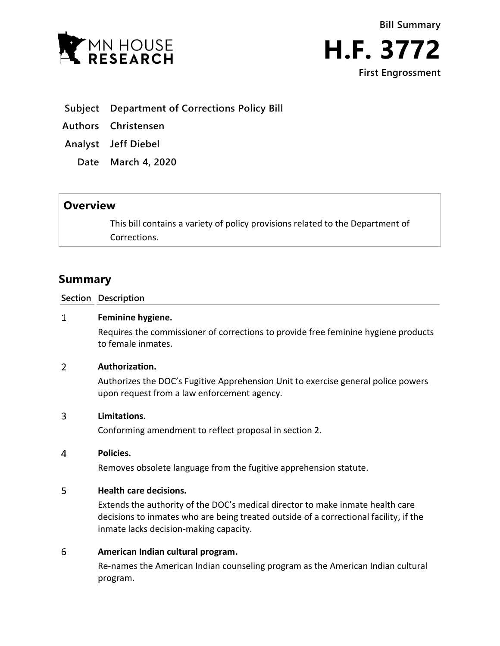



- **Subject Department of Corrections Policy Bill**
- **Authors Christensen**
- **Analyst Jeff Diebel**
	- **Date March 4, 2020**

# **Overview**

This bill contains a variety of policy provisions related to the Department of Corrections.

# **Summary**

### **Section Description**

#### $\mathbf{1}$ **Feminine hygiene.**

Requires the commissioner of corrections to provide free feminine hygiene products to female inmates.

#### $\overline{2}$ **Authorization.**

Authorizes the DOC's Fugitive Apprehension Unit to exercise general police powers upon request from a law enforcement agency.

#### 3 **Limitations.**

Conforming amendment to reflect proposal in section 2.

#### $\overline{4}$ **Policies.**

Removes obsolete language from the fugitive apprehension statute.

#### 5 **Health care decisions.**

Extends the authority of the DOC's medical director to make inmate health care decisions to inmates who are being treated outside of a correctional facility, if the inmate lacks decision-making capacity.

#### 6 **American Indian cultural program.**

Re-names the American Indian counseling program as the American Indian cultural program.